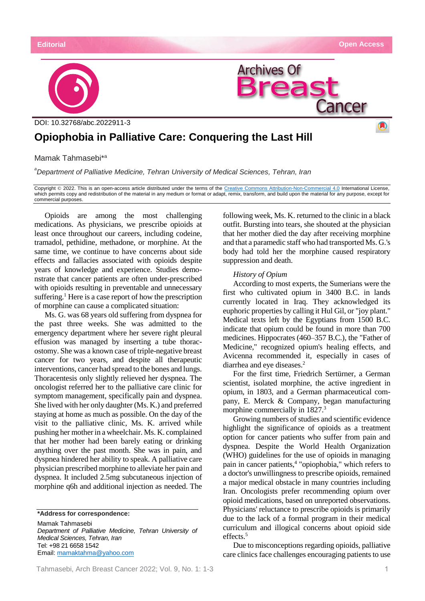

# **Opiophobia in Palliative Care: Conquering the Last Hill**

Mamak Tahmasebi\* a

*a Department of Palliative Medicine, Tehran University of Medical Sciences, Tehran, Iran*

Copyright © 2022. This is an open-access article distributed under the terms of the [Creative Commons Attribution-Non-Commercial 4.0](https://creativecommons.org/licenses/by-nc/4.0/) International License, which permits copy and redistribution of the material in any medium or format or adapt, remix, transform, and build upon the material for any purpose, except for commercial purposes.

Opioids are among the most challenging medications. As physicians, we prescribe opioids at least once throughout our careers, including codeine, tramadol, pethidine, methadone, or morphine. At the same time, we continue to have concerns about side effects and fallacies associated with opioids despite years of knowledge and experience. Studies demonstrate that cancer patients are often under-prescribed with opioids resulting in preventable and unnecessary suffering.<sup>1</sup> Here is a case report of how the prescription of morphine can cause a complicated situation:

Ms. G. was 68 years old suffering from dyspnea for the past three weeks. She was admitted to the emergency department where her severe right pleural effusion was managed by inserting a tube thoracostomy. She was a known case of triple-negative breast cancer for two years, and despite all therapeutic interventions, cancer had spread to the bones and lungs. Thoracentesis only slightly relieved her dyspnea. The oncologist referred her to the palliative care clinic for symptom management, specifically pain and dyspnea. She lived with her only daughter (Ms. K.) and preferred staying at home as much as possible. On the day of the visit to the palliative clinic, Ms. K. arrived while pushing her mother in a wheelchair. Ms. K. complained that her mother had been barely eating or drinking anything over the past month. She was in pain, and dyspnea hindered her ability to speak. A palliative care physician prescribed morphine to alleviate her pain and dyspnea. It included 2.5mg subcutaneous injection of morphine q6h and additional injection as needed. The

**\*Address for correspondence:**

Mamak Tahmasebi

*Department of Palliative Medicine, Tehran University of Medical Sciences, Tehran, Iran* Tel: +98 21 6658 1542 Email: [mamaktahma@yahoo.com](mailto:mamaktahma@yahoo.com)

following week, Ms. K. returned to the clinic in a black outfit. Bursting into tears, she shouted at the physician that her mother died the day after receiving morphine and that a paramedic staff who had transported Ms. G.'s body had told her the morphine caused respiratory suppression and death.

#### *History of Opium*

According to most experts, the Sumerians were the first who cultivated opium in 3400 B.C. in lands currently located in Iraq. They acknowledged its euphoric properties by calling it Hul Gil, or "joy plant." Medical texts left by the Egyptians from 1500 B.C. indicate that opium could be found in more than 700 medicines. Hippocrates (460–357 B.C.), the "Father of Medicine," recognized opium's healing effects, and Avicenna recommended it, especially in cases of diarrhea and eye diseases.<sup>2</sup>

For the first time, Friedrich Sertürner, a German scientist, isolated morphine, the active ingredient in opium, in 1803, and a German pharmaceutical company, E. Merck & Company, began manufacturing morphine commercially in 1827.<sup>3</sup>

Growing numbers of studies and scientific evidence highlight the significance of opioids as a treatment option for cancer patients who suffer from pain and dyspnea. Despite the World Health Organization (WHO) guidelines for the use of opioids in managing pain in cancer patients, 4 "opiophobia," which refers to a doctor's unwillingness to prescribe opioids, remained a major medical obstacle in many countries including Iran. Oncologists prefer recommending opium over opioid medications, based on unreported observations. Physicians' reluctance to prescribe opioids is primarily due to the lack of a formal program in their medical curriculum and illogical concerns about opioid side effects.<sup>5</sup>

Due to misconceptions regarding opioids, palliative care clinics face challenges encouraging patients to use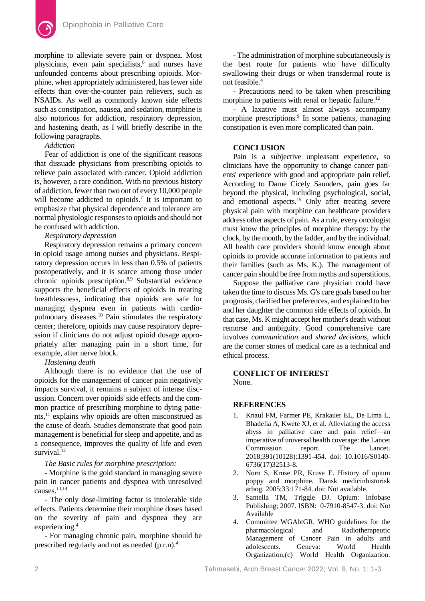

morphine to alleviate severe pain or dyspnea. Most physicians, even pain specialists, 6 and nurses have unfounded concerns about prescribing opioids. Morphine, when appropriately administered, has fewer side effects than over-the-counter pain relievers, such as NSAIDs. As well as commonly known side effects such as constipation, nausea, and sedation, morphine is also notorious for addiction, respiratory depression, and hastening death, as I will briefly describe in the following paragraphs.

#### *Addiction*

Fear of addiction is one of the significant reasons that dissuade physicians from prescribing opioids to relieve pain associated with cancer. Opioid addiction is, however, a rare condition. With no previous history of addiction, fewer than two out of every 10,000 people will become addicted to opioids.<sup>7</sup> It is important to emphasize that physical dependence and tolerance are normal physiologic responses to opioids and should not be confused with addiction.

# *Respiratory depression*

Respiratory depression remains a primary concern in opioid usage among nurses and physicians. Respiratory depression occurs in less than 0.5% of patients postoperatively, and it is scarce among those under chronic opioids prescription.8,9 Substantial evidence supports the beneficial effects of opioids in treating breathlessness, indicating that opioids are safe for managing dyspnea even in patients with cardiopulmonary diseases.<sup>10</sup> Pain stimulates the respiratory center; therefore, opioids may cause respiratory depression if clinicians do not adjust opioid dosage appropriately after managing pain in a short time, for example, after nerve block.

# *Hastening death*

Although there is no evidence that the use of opioids for the management of cancer pain negatively impacts survival, it remains a subject of intense discussion. Concern over opioids' side effects and the common practice of prescribing morphine to dying patients, <sup>11</sup> explains why opioids are often misconstrued as the cause of death. Studies demonstrate that good pain management is beneficial for sleep and appetite, and as a consequence, improves the quality of life and even survival. $12$ 

### *The Basic rules for morphine prescription:*

- Morphine is the gold standard in managing severe pain in cancer patients and dyspnea with unresolved causes.13,14

- The only dose-limiting factor is intolerable side effects. Patients determine their morphine doses based on the severity of pain and dyspnea they are experiencing.<sup>4</sup>

- For managing chronic pain, morphine should be prescribed regularly and not as needed (p.r.n).<sup>4</sup>

- The administration of morphine subcutaneously is the best route for patients who have difficulty swallowing their drugs or when transdermal route is not feasible.<sup>4</sup>

- Precautions need to be taken when prescribing morphine to patients with renal or hepatic failure.<sup>12</sup>

- A laxative must almost always accompany morphine prescriptions.<sup>9</sup> In some patients, managing constipation is even more complicated than pain.

#### **CONCLUSION**

Pain is a subjective unpleasant experience, so clinicians have the opportunity to change cancer patients' experience with good and appropriate pain relief. According to Dame Cicely Saunders, pain goes far beyond the physical, including psychological, social, and emotional aspects.<sup>15</sup> Only after treating severe physical pain with morphine can healthcare providers address other aspects of pain. As a rule, every oncologist must know the principles of morphine therapy: by the clock, by the mouth, by the ladder, and by the individual. All health care providers should know enough about opioids to provide accurate information to patients and their families (such as Ms. K.). The management of cancer pain should be free from myths and superstitions.

Suppose the palliative care physician could have taken the time to discuss Ms. G's care goals based on her prognosis, clarified her preferences, and explained to her and her daughter the common side effects of opioids. In that case, Ms. K might accept her mother's death without remorse and ambiguity. Good comprehensive care involves *communication* and *shared decisions*, which are the corner stones of medical care as a technical and ethical process.

# **CONFLICT OF INTEREST** None.

#### **REFERENCES**

- 1. Knaul FM, Farmer PE, Krakauer EL, De Lima L, Bhadelia A, Kwete XJ, et al. Alleviating the access abyss in palliative care and pain relief—an imperative of universal health coverage: the Lancet Commission report. The Lancet. 2018;391(10128):1391-454. doi: 10.1016/S0140- 6736(17)32513-8.
- 2. Norn S, Kruse PR, Kruse E. History of opium poppy and morphine. Dansk medicinhistorisk arbog. 2005;33:171-84. doi: Not available.
- 3. Santella TM, Triggle DJ. Opium: Infobase Publishing; 2007. ISBN: 0-7910-8547-3. doi: Not Available
- 4. Committee WGAbtGR. WHO guidelines for the pharmacological and Radiotherapeutic Management of Cancer Pain in adults and adolescents. Geneva: World Health Organization,(c) World Health Organization.